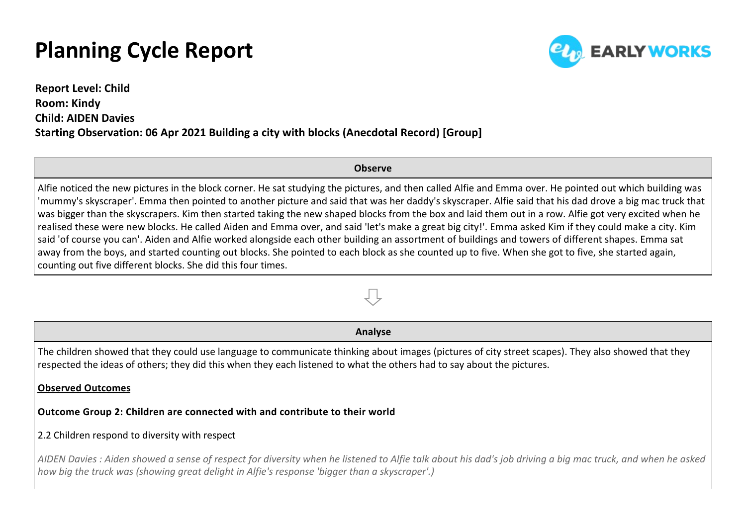### **Planning Cycle Report**



#### **Report Level: Child Room: Kindy Child: AIDEN Davies Starting Observation: 06 Apr 2021 Building a city with blocks (Anecdotal Record) [Group]**

#### **Observe**

Alfie noticed the new pictures in the block corner. He sat studying the pictures, and then called Alfie and Emma over. He pointed out which building was 'mummy's skyscraper'. Emma then pointed to another picture and said that was her daddy's skyscraper. Alfie said that his dad drove a big mac truck that was bigger than the skyscrapers. Kim then started taking the new shaped blocks from the box and laid them out in a row. Alfie got very excited when he realised these were new blocks. He called Aiden and Emma over, and said 'let's make a great big city!'. Emma asked Kim if they could make a city. Kim said 'of course you can'. Aiden and Alfie worked alongside each other building an assortment of buildings and towers of different shapes. Emma sat away from the boys, and started counting out blocks. She pointed to each block as she counted up to five. When she got to five, she started again, counting out five different blocks. She did this four times.

# ⇩

### **Analyse** The children showed that they could use language to communicate thinking about images (pictures of city street scapes). They also showed that they respected the ideas of others; they did this when they each listened to what the others had to say about the pictures. **Observed Outcomes Outcome Group 2: Children are connected with and contribute to their world** 2.2 Children respond to diversity with respect *AIDEN Davies : Aiden showed a sense of respect for diversity when he listened to Alfie talk about his dad's job driving a big mac truck, and when he asked how big the truck was (showing great delight in Alfie's response 'bigger than a skyscraper'.)*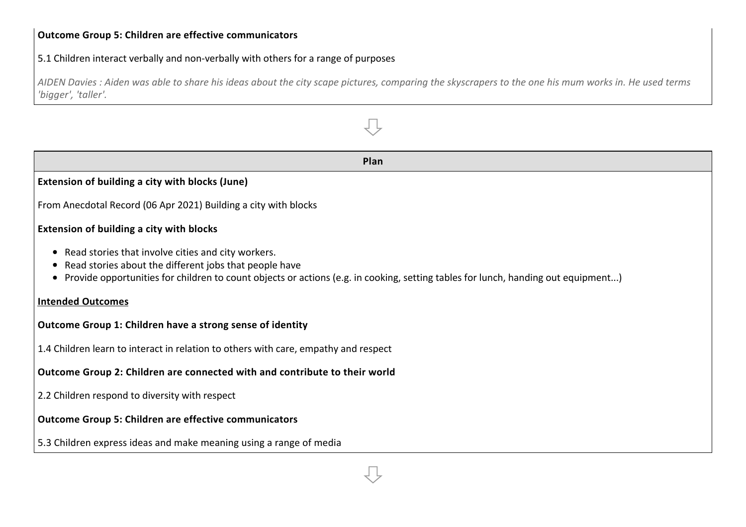#### **Outcome Group 5: Children are effective communicators**

#### 5.1 Children interact verbally and non‐verbally with others for a range of purposes

*AIDEN Davies : Aiden was able to share his ideas about the city scape pictures, comparing the skyscrapers to the one his mum works in. He used terms 'bigger', 'taller'.*

| Plan                                                                                                                                                                                                                                                           |
|----------------------------------------------------------------------------------------------------------------------------------------------------------------------------------------------------------------------------------------------------------------|
| Extension of building a city with blocks (June)                                                                                                                                                                                                                |
| From Anecdotal Record (06 Apr 2021) Building a city with blocks                                                                                                                                                                                                |
| <b>Extension of building a city with blocks</b>                                                                                                                                                                                                                |
| Read stories that involve cities and city workers.<br>$\bullet$<br>Read stories about the different jobs that people have<br>Provide opportunities for children to count objects or actions (e.g. in cooking, setting tables for lunch, handing out equipment) |
| <b>Intended Outcomes</b>                                                                                                                                                                                                                                       |
| Outcome Group 1: Children have a strong sense of identity                                                                                                                                                                                                      |
| 1.4 Children learn to interact in relation to others with care, empathy and respect                                                                                                                                                                            |
| Outcome Group 2: Children are connected with and contribute to their world                                                                                                                                                                                     |
| 2.2 Children respond to diversity with respect                                                                                                                                                                                                                 |
| <b>Outcome Group 5: Children are effective communicators</b>                                                                                                                                                                                                   |
| 5.3 Children express ideas and make meaning using a range of media                                                                                                                                                                                             |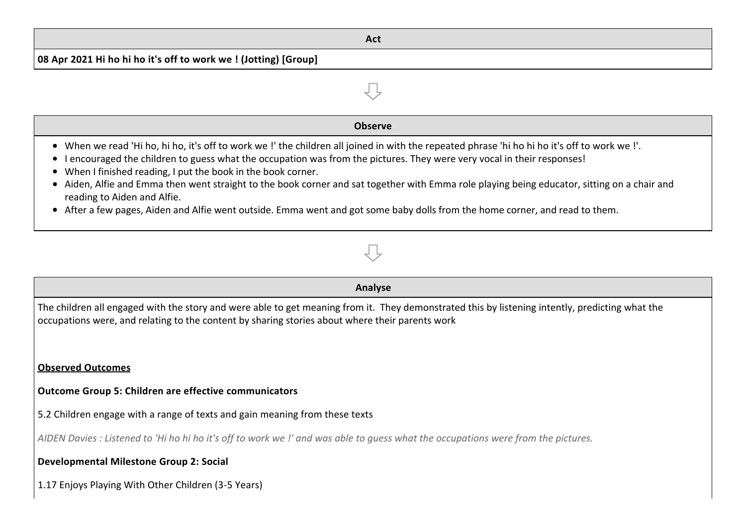|                                                                 | ACt |
|-----------------------------------------------------------------|-----|
| 08 Apr 2021 Hi ho hi ho it's off to work we ! (Jotting) [Group] |     |

#### **Observe**

⇩

- When we read 'Hi ho, hi ho, it's off to work we !' the children all joined in with the repeated phrase 'hi ho hi ho it's off to work we !'.
- I encouraged the children to guess what the occupation was from the pictures. They were very vocal in their responses!
- When I finished reading, I put the book in the book corner.
- Aiden, Alfie and Emma then went straight to the book corner and sat together with Emma role playing being educator, sitting on a chair and reading to Aiden and Alfie.

⇩

After a few pages, Aiden and Alfie went outside. Emma went and got some baby dolls from the home corner, and read to them.

### **Analyse** The children all engaged with the story and were able to get meaning from it. They demonstrated this by listening intently, predicting what the occupations were, and relating to the content by sharing stories about where their parents work **Observed Outcomes Outcome Group 5: Children are effective communicators** 5.2 Children engage with a range of texts and gain meaning from these texts *AIDEN Davies : Listened to 'Hi ho hi ho it's off to work we !' and was able to guess what the occupations were from the pictures.* **Developmental Milestone Group 2: Social** 1.17 Enjoys Playing With Other Children (3‐5 Years)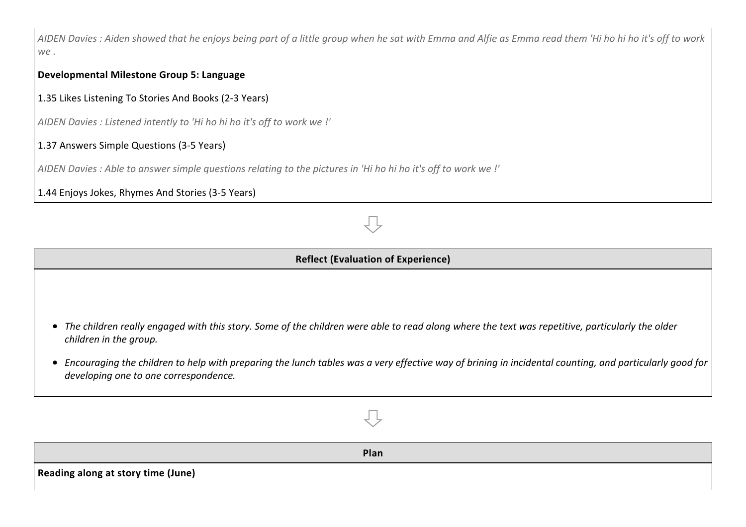*AIDEN Davies : Aiden showed that he enjoys being part of a little group when he sat with Emma and Alfie as Emma read them 'Hi ho hi ho it's off to work we .*

#### **Developmental Milestone Group 5: Language**

1.35 Likes Listening To Stories And Books (2‐3 Years)

*AIDEN Davies : Listened intently to 'Hi ho hi ho it's off to work we !'*

#### 1.37 Answers Simple Questions (3‐5 Years)

*AIDEN Davies : Able to answer simple questions relating to the pictures in 'Hi ho hi ho it's off to work we !'*

#### 1.44 Enjoys Jokes, Rhymes And Stories (3‐5 Years)

### **Reflect (Evaluation of Experience)** *The children really engaged with this story. Some of the children were able to read along where the text was repetitive, particularly the older children in the group. Encouraging the children to help with preparing the lunch tables was a very effective way of brining in incidental counting, and particularly good for developing one to one correspondence.*

⇩

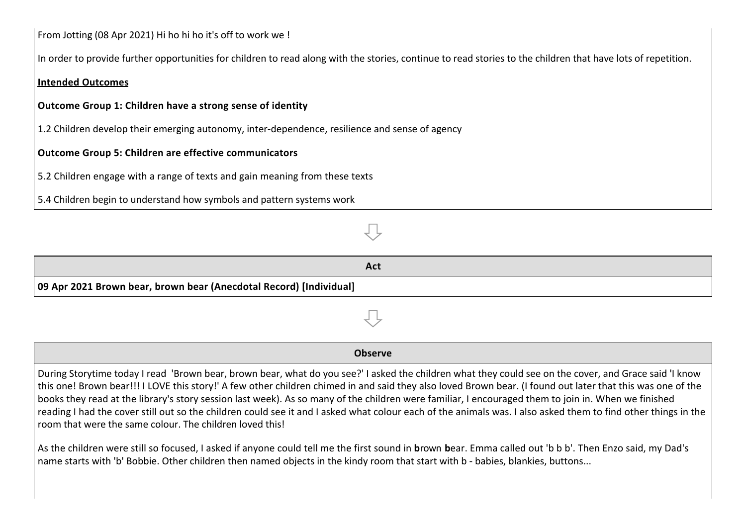| From Jotting (08 Apr 2021) Hi ho hi ho it's off to work we !                                                                                                  |
|---------------------------------------------------------------------------------------------------------------------------------------------------------------|
| In order to provide further opportunities for children to read along with the stories, continue to read stories to the children that have lots of repetition. |
| <b>Intended Outcomes</b>                                                                                                                                      |
| <b>Outcome Group 1: Children have a strong sense of identity</b>                                                                                              |
| 1.2 Children develop their emerging autonomy, inter-dependence, resilience and sense of agency                                                                |
| <b>Outcome Group 5: Children are effective communicators</b>                                                                                                  |
| 5.2 Children engage with a range of texts and gain meaning from these texts                                                                                   |
| 5.4 Children begin to understand how symbols and pattern systems work                                                                                         |

# ⇩

**Act 09 Apr 2021 Brown bear, brown bear (Anecdotal Record) [Individual]**

#### **Observe**

⇩

During Storytime today I read 'Brown bear, brown bear, what do you see?' I asked the children what they could see on the cover, and Grace said 'I know this one! Brown bear!!! I LOVE this story!' A few other children chimed in and said they also loved Brown bear. (I found out later that this was one of the books they read at the library's story session last week). As so many of the children were familiar, I encouraged them to join in. When we finished reading I had the cover still out so the children could see it and I asked what colour each of the animals was. I also asked them to find other things in the room that were the same colour. The children loved this!

As the children were still so focused, I asked if anyone could tell me the first sound in **b**rown **b**ear. Emma called out 'b b b'. Then Enzo said, my Dad's name starts with 'b' Bobbie. Other children then named objects in the kindy room that start with b ‐ babies, blankies, buttons...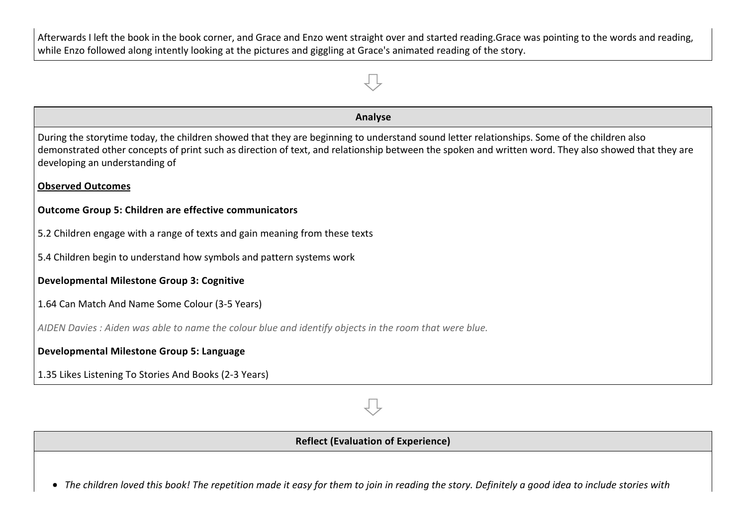Afterwards I left the book in the book corner, and Grace and Enzo went straight over and started reading.Grace was pointing to the words and reading, while Enzo followed along intently looking at the pictures and giggling at Grace's animated reading of the story.

| <b>Analyse</b>                                                                                                                                                                                                                                                                                                                        |
|---------------------------------------------------------------------------------------------------------------------------------------------------------------------------------------------------------------------------------------------------------------------------------------------------------------------------------------|
| During the storytime today, the children showed that they are beginning to understand sound letter relationships. Some of the children also<br>demonstrated other concepts of print such as direction of text, and relationship between the spoken and written word. They also showed that they are<br>developing an understanding of |
| <b>Observed Outcomes</b>                                                                                                                                                                                                                                                                                                              |
| <b>Outcome Group 5: Children are effective communicators</b>                                                                                                                                                                                                                                                                          |
| 5.2 Children engage with a range of texts and gain meaning from these texts                                                                                                                                                                                                                                                           |
| 5.4 Children begin to understand how symbols and pattern systems work                                                                                                                                                                                                                                                                 |
| <b>Developmental Milestone Group 3: Cognitive</b>                                                                                                                                                                                                                                                                                     |
| 1.64 Can Match And Name Some Colour (3-5 Years)                                                                                                                                                                                                                                                                                       |
| AIDEN Davies : Aiden was able to name the colour blue and identify objects in the room that were blue.                                                                                                                                                                                                                                |
| Developmental Milestone Group 5: Language                                                                                                                                                                                                                                                                                             |
| 1.35 Likes Listening To Stories And Books (2-3 Years)                                                                                                                                                                                                                                                                                 |
|                                                                                                                                                                                                                                                                                                                                       |



*The children loved this book! The repetition made it easy for them to join in reading the story. Definitely a good idea to include stories with*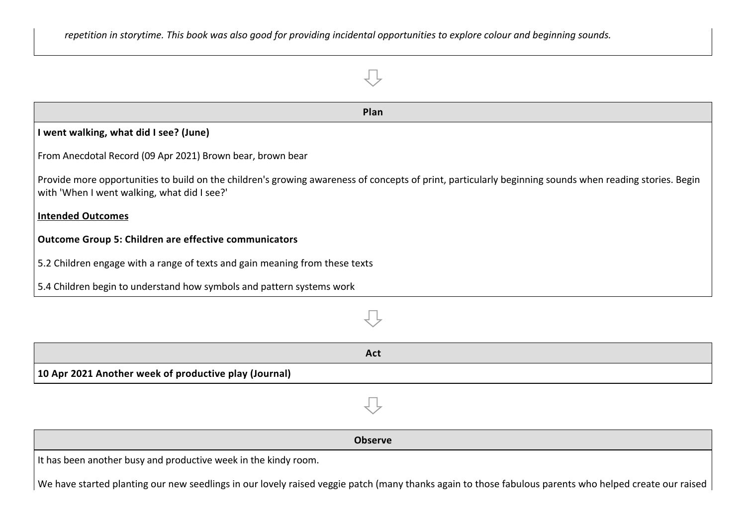| Plan                                                                                                                                                                                                   |
|--------------------------------------------------------------------------------------------------------------------------------------------------------------------------------------------------------|
| I went walking, what did I see? (June)                                                                                                                                                                 |
| From Anecdotal Record (09 Apr 2021) Brown bear, brown bear                                                                                                                                             |
| Provide more opportunities to build on the children's growing awareness of concepts of print, particularly beginning sounds when reading stories. Begin<br>with 'When I went walking, what did I see?' |
| <b>Intended Outcomes</b>                                                                                                                                                                               |
| Outcome Group 5: Children are effective communicators                                                                                                                                                  |
| 5.2 Children engage with a range of texts and gain meaning from these texts                                                                                                                            |
| 5.4 Children begin to understand how symbols and pattern systems work                                                                                                                                  |
|                                                                                                                                                                                                        |
| Act                                                                                                                                                                                                    |

**10 Apr 2021 Another week of productive play (Journal)**

⇩

## **Observe** It has been another busy and productive week in the kindy room.

We have started planting our new seedlings in our lovely raised veggie patch (many thanks again to those fabulous parents who helped create our raised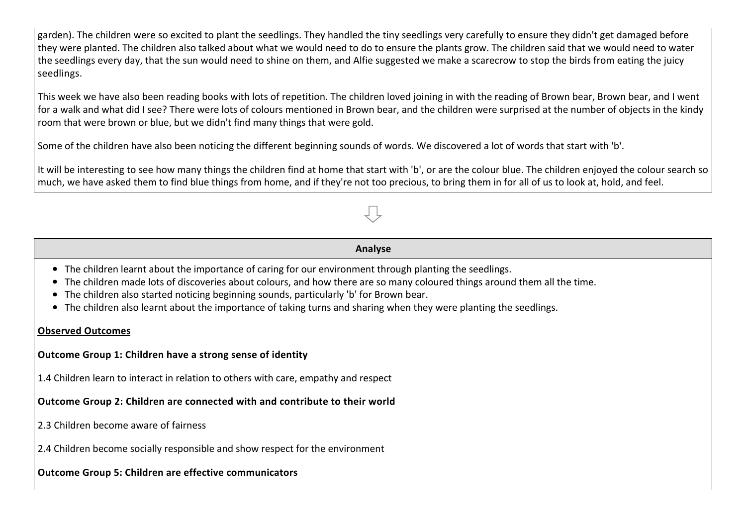garden). The children were so excited to plant the seedlings. They handled the tiny seedlings very carefully to ensure they didn't get damaged before they were planted. The children also talked about what we would need to do to ensure the plants grow. The children said that we would need to water the seedlings every day, that the sun would need to shine on them, and Alfie suggested we make a scarecrow to stop the birds from eating the juicy seedlings.

This week we have also been reading books with lots of repetition. The children loved joining in with the reading of Brown bear, Brown bear, and I went for a walk and what did I see? There were lots of colours mentioned in Brown bear, and the children were surprised at the number of objects in the kindy room that were brown or blue, but we didn't find many things that were gold.

Some of the children have also been noticing the different beginning sounds of words. We discovered a lot of words that start with 'b'.

It will be interesting to see how many things the children find at home that start with 'b', or are the colour blue. The children enjoyed the colour search so much, we have asked them to find blue things from home, and if they're not too precious, to bring them in for all of us to look at, hold, and feel.

#### **Analyse**

⇩

- The children learnt about the importance of caring for our environment through planting the seedlings.
- The children made lots of discoveries about colours, and how there are so many coloured things around them all the time.
- The children also started noticing beginning sounds, particularly 'b' for Brown bear.
- The children also learnt about the importance of taking turns and sharing when they were planting the seedlings.

#### **Observed Outcomes**

#### **Outcome Group 1: Children have a strong sense of identity**

1.4 Children learn to interact in relation to others with care, empathy and respect

#### **Outcome Group 2: Children are connected with and contribute to their world**

- 2.3 Children become aware of fairness
- 2.4 Children become socially responsible and show respect for the environment

#### **Outcome Group 5: Children are effective communicators**